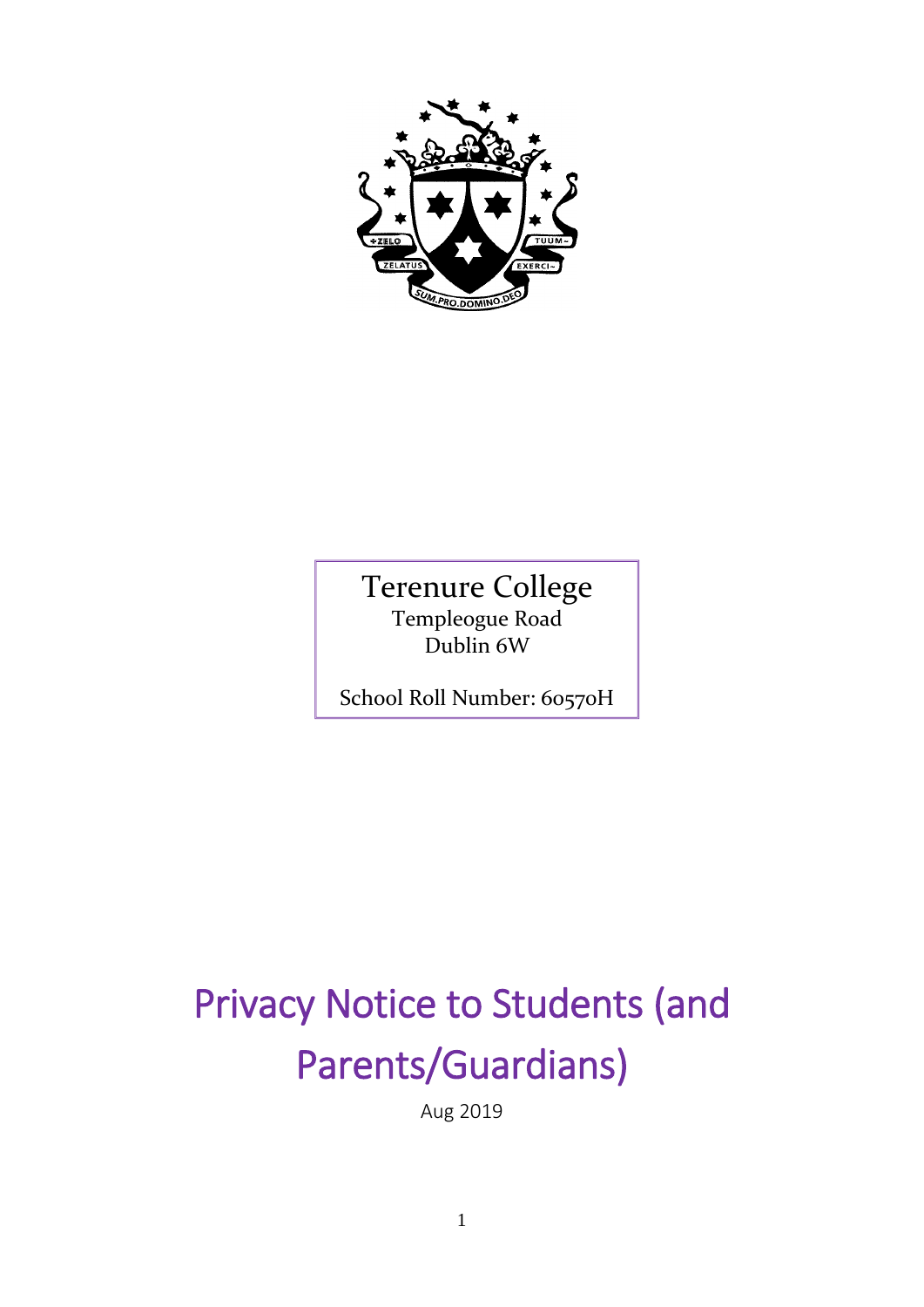

Terenure College Templeogue Road Dublin 6W

School Roll Number: 60570H

# Privacy Notice to Students (and Parents/Guardians)

Aug 2019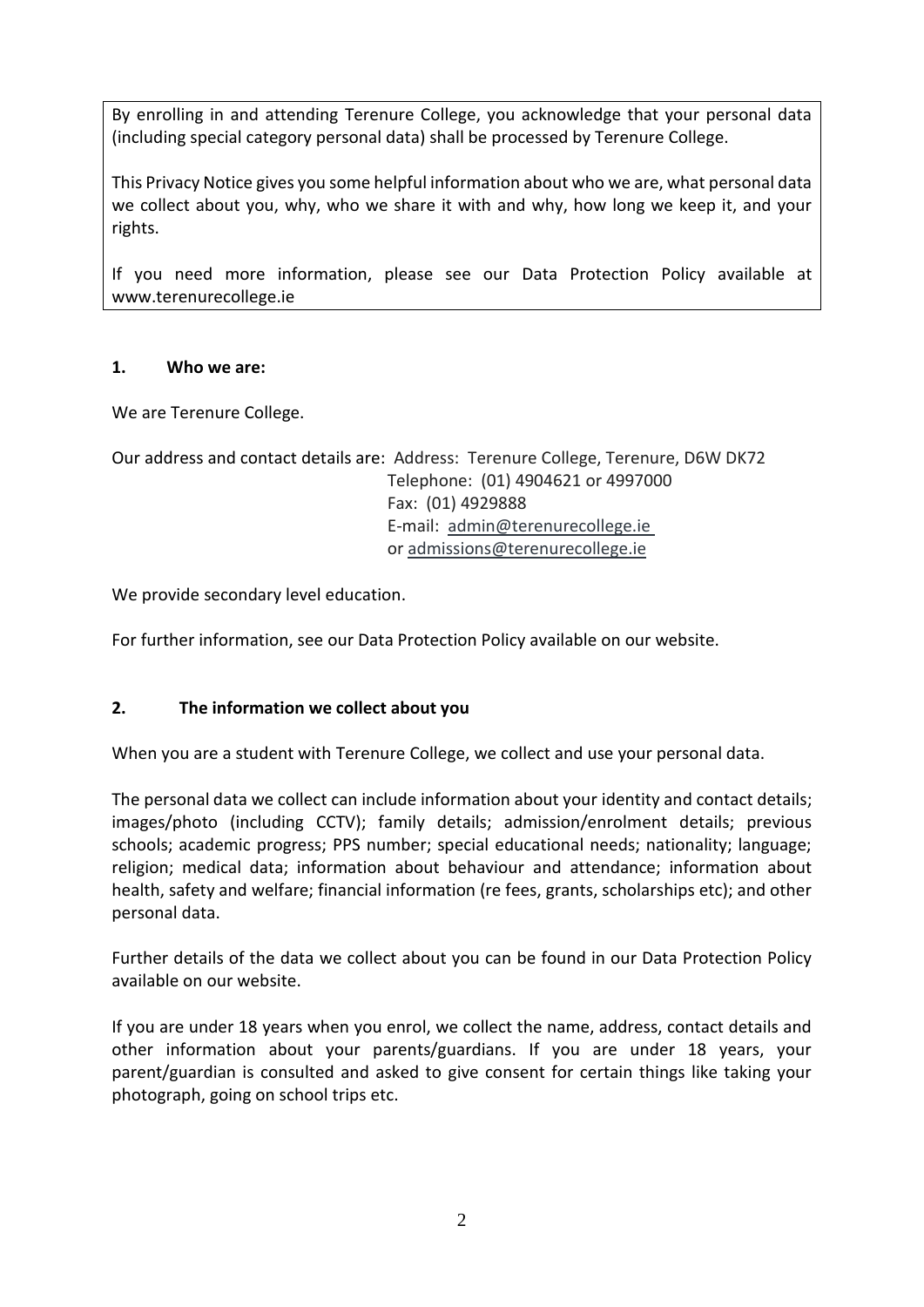By enrolling in and attending Terenure College, you acknowledge that your personal data (including special category personal data) shall be processed by Terenure College.

This Privacy Notice gives you some helpful information about who we are, what personal data we collect about you, why, who we share it with and why, how long we keep it, and your rights.

If you need more information, please see our Data Protection Policy available at www.terenurecollege.ie

### **1. Who we are:**

We are Terenure College.

```
Our address and contact details are: Address: Terenure College, Terenure, D6W DK72
                       Telephone: (01) 4904621 or 4997000
                       Fax: (01) 4929888
                       E-mail: admin@terenurecollege.ie
                       or admissions@terenurecollege.ie
```
We provide secondary level education.

For further information, see our Data Protection Policy available on our website.

### **2. The information we collect about you**

When you are a student with Terenure College, we collect and use your personal data.

The personal data we collect can include information about your identity and contact details; images/photo (including CCTV); family details; admission/enrolment details; previous schools; academic progress; PPS number; special educational needs; nationality; language; religion; medical data; information about behaviour and attendance; information about health, safety and welfare; financial information (re fees, grants, scholarships etc); and other personal data.

Further details of the data we collect about you can be found in our Data Protection Policy available on our website.

If you are under 18 years when you enrol, we collect the name, address, contact details and other information about your parents/guardians. If you are under 18 years, your parent/guardian is consulted and asked to give consent for certain things like taking your photograph, going on school trips etc.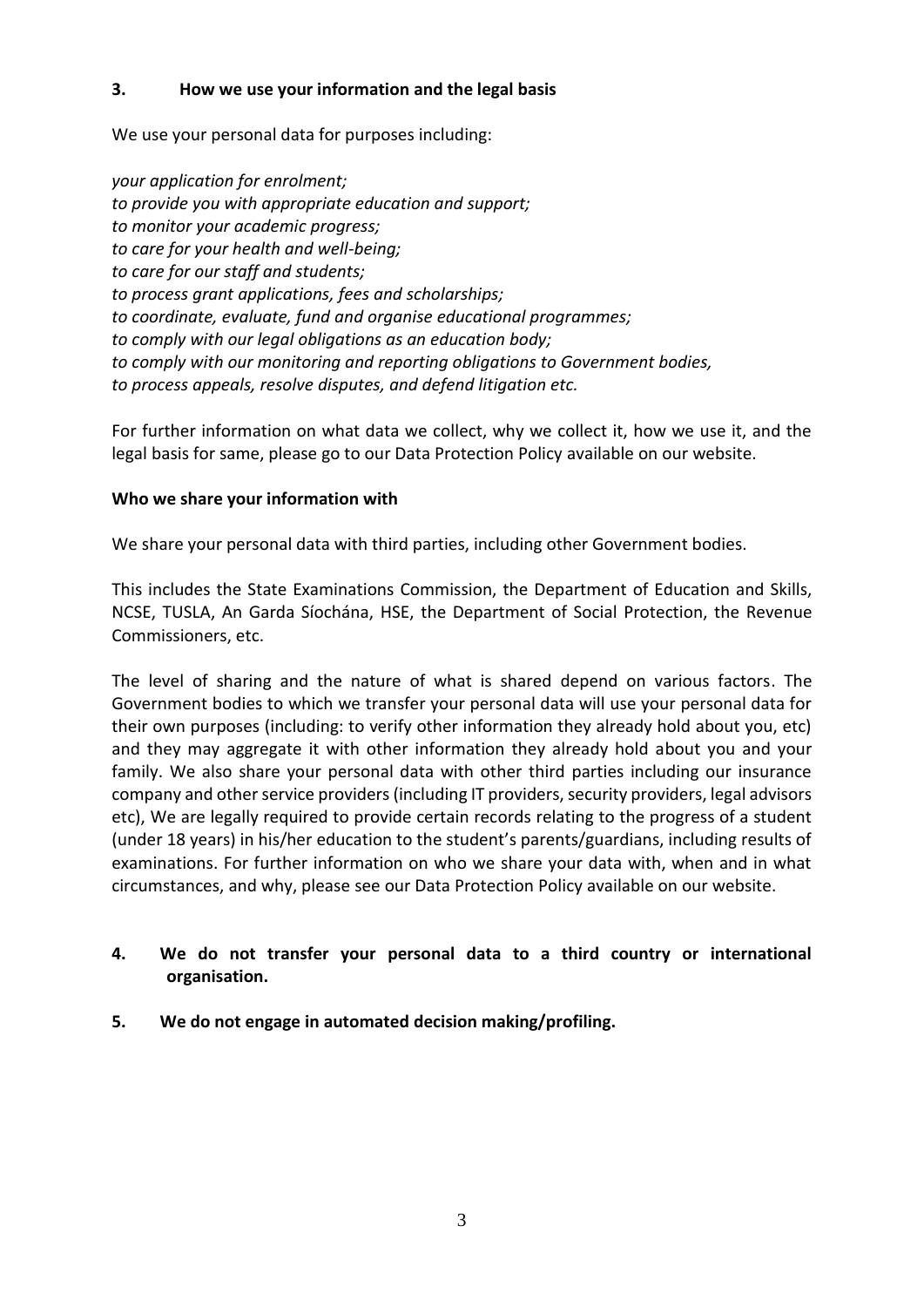#### **3. How we use your information and the legal basis**

We use your personal data for purposes including:

*your application for enrolment; to provide you with appropriate education and support; to monitor your academic progress; to care for your health and well-being; to care for our staff and students; to process grant applications, fees and scholarships; to coordinate, evaluate, fund and organise educational programmes; to comply with our legal obligations as an education body; to comply with our monitoring and reporting obligations to Government bodies, to process appeals, resolve disputes, and defend litigation etc.* 

For further information on what data we collect, why we collect it, how we use it, and the legal basis for same, please go to our Data Protection Policy available on our website.

#### **Who we share your information with**

We share your personal data with third parties, including other Government bodies.

This includes the State Examinations Commission, the Department of Education and Skills, NCSE, TUSLA, An Garda Síochána, HSE, the Department of Social Protection, the Revenue Commissioners, etc.

The level of sharing and the nature of what is shared depend on various factors. The Government bodies to which we transfer your personal data will use your personal data for their own purposes (including: to verify other information they already hold about you, etc) and they may aggregate it with other information they already hold about you and your family. We also share your personal data with other third parties including our insurance company and other service providers (including IT providers, security providers, legal advisors etc), We are legally required to provide certain records relating to the progress of a student (under 18 years) in his/her education to the student's parents/guardians, including results of examinations. For further information on who we share your data with, when and in what circumstances, and why, please see our Data Protection Policy available on our website.

## **4. We do not transfer your personal data to a third country or international organisation.**

#### **5. We do not engage in automated decision making/profiling.**